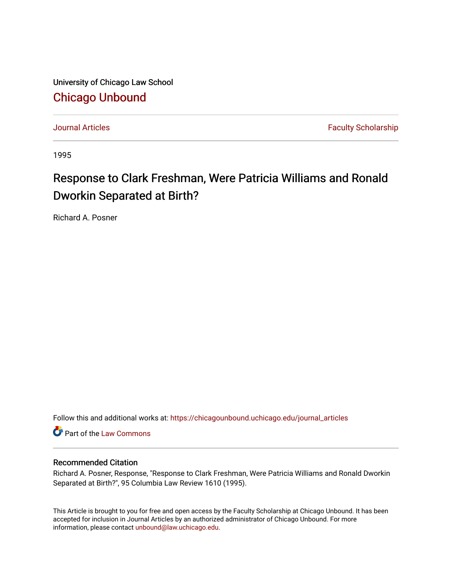University of Chicago Law School [Chicago Unbound](https://chicagounbound.uchicago.edu/)

[Journal Articles](https://chicagounbound.uchicago.edu/journal_articles) **Faculty Scholarship Journal Articles** 

1995

## Response to Clark Freshman, Were Patricia Williams and Ronald Dworkin Separated at Birth?

Richard A. Posner

Follow this and additional works at: [https://chicagounbound.uchicago.edu/journal\\_articles](https://chicagounbound.uchicago.edu/journal_articles?utm_source=chicagounbound.uchicago.edu%2Fjournal_articles%2F3740&utm_medium=PDF&utm_campaign=PDFCoverPages) 

Part of the [Law Commons](http://network.bepress.com/hgg/discipline/578?utm_source=chicagounbound.uchicago.edu%2Fjournal_articles%2F3740&utm_medium=PDF&utm_campaign=PDFCoverPages)

## Recommended Citation

Richard A. Posner, Response, "Response to Clark Freshman, Were Patricia Williams and Ronald Dworkin Separated at Birth?", 95 Columbia Law Review 1610 (1995).

This Article is brought to you for free and open access by the Faculty Scholarship at Chicago Unbound. It has been accepted for inclusion in Journal Articles by an authorized administrator of Chicago Unbound. For more information, please contact [unbound@law.uchicago.edu](mailto:unbound@law.uchicago.edu).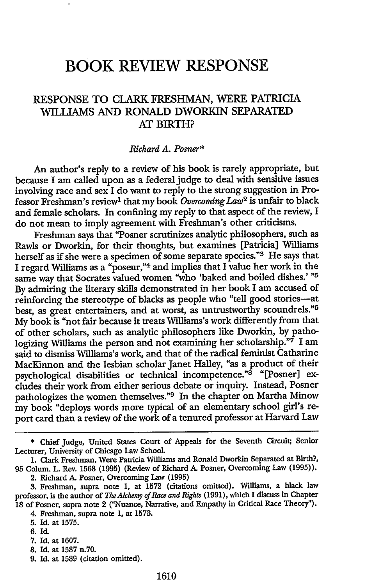## **BOOK REVIEW RESPONSE**

## **RESPONSE** TO CLARK **FRESHMAN,** WERE PATRICIA WILLIAMS **AND** RONALD DWORKIN SEPARATED AT BIRTH?

*Richard A. Posner\**

An author's reply to a review of his book is rarely appropriate, but because I am called upon as a federal judge to deal with sensitive issues involving race and sex I do want to reply to the strong suggestion in Professor Freshman's review<sup>1</sup> that my book *Overcoming Law*<sup>2</sup> is unfair to black and female scholars. In confining my reply to that aspect of the review, I do not mean to imply agreement with Freshman's other criticisms.

Freshman says that "Posner scrutinizes analytic philosophers, such as Rawls or Dworkin, for their thoughts, but examines [Patricia] Williams herself as if she were a specimen of some separate species."8 He says that I regard Williams as a "poseur,"4 and implies that I value her work in the same way that Socrates valued women "who 'baked and boiled dishes.' "<sup>5</sup> By admiring the literary skills demonstrated in her book I am accused of reinforcing the stereotype of blacks as people who "tell good stories-at best, as great entertainers, and at worst, as untrustworthy scoundrels."<sup>6</sup> My book is "not fair because it treats Williams's work differently from that of other scholars, such as analytic philosophers like Dworkin, by pathologizing Williams the person and not examining her scholarship."7 I am said to dismiss Williams's work, and that of the radical feminist Catharine MacKinnon and the lesbian scholar Janet Halley, "as a product of their psychological disabilities or technical incompetence."<sup>8</sup> "[Posner] excludes their work from either serious debate or inquiry. Instead, Posner pathologizes the women themselves."<sup>9</sup> In the chapter on Martha Minow my book "deploys words more typical of an elementary school girl's report card than a review of the work of a tenured professor at Harvard Law

- 8. Id. at 1587 n.70.
- 9. Id. at 1589 (citation omitted).

<sup>\*</sup> Chief Judge, United States Court of Appeals for the Seventh Circuit; Senior Lecturer, University of Chicago Law School.

<sup>1.</sup> Clark Freshman, Were Patricia Williams and Ronald Dworkin Separated at Birth?, 95 Colum. L Rev. 1568 (1995) (Review of Richard **A.** Posner, Overcoming Law (1995)).

<sup>2.</sup> Richard *A.* Posner, Overcoming Law (1995)

**<sup>3.</sup>** Freshman, supra note 1, at 1572 (citations omitted). Williams, a black law professor, is the author of *The Alchemy of Race and Rights* (1991), which I discuss in Chapter 18 of Posner, supra note 2 ("Nuance, Narrative, and Empathy in Critical Race Theory").

<sup>4.</sup> Freshman, supra note **1,** at 1578.

<sup>5.</sup> Id. at 1575.

**<sup>6.</sup>** Id.

<sup>7.</sup> Id. at 1607.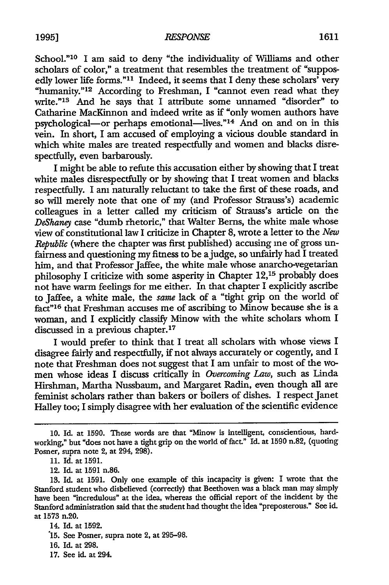School."<sup>10</sup> I am said to deny "the individuality of Williams and other scholars of color," a treatment that resembles the treatment of "supposedly lower life forms."<sup>11</sup> Indeed, it seems that I deny these scholars' very "humanity."12 According to Freshman, I "cannot even read what they write."<sup>13</sup> And he says that I attribute some unnamed "disorder" to Catharine MacKinnon and indeed write as if "only women authors have psychological-or perhaps emotional-lives."<sup>14</sup> And on and on in this vein. In short, I am accused of employing a vicious double standard in which white males are treated respectfully and women and blacks disrespectfully, even barbarously.

I might be able to refute this accusation either by showing that I treat white males disrespectfully or by showing that I treat women and blacks respectfully. I am naturally reluctant to take the first of these roads, and so will merely note that one of my (and Professor Strauss's) academic colleagues in a letter called my criticism of Strauss's article on the *DeShaney* case "dumb rhetoric," that Walter Berns, the white male whose view of constitutional law I criticize in Chapter **8,** wrote a letter to the *New Republic* (where the chapter was first published) accusing me of gross unfairness and questioning my fitness to be ajudge, so unfairly had I treated him, and that Professor Jaffee, the white male whose anarcho-vegetarian philosophy I criticize with some asperity in Chapter **12,15** probably does not have warm feelings for me either. In that chapter I explicitly ascribe to Jaffee, a white male, the same lack of a "tight grip on the world of fact"16 that Freshman accuses me of ascribing to Minow because she is a woman, and I explicitly classify Minow with the white scholars whom I discussed in a previous chapter.<sup>17</sup>

I would prefer to think that I treat all scholars with whose views I disagree fairly and respectfully, if not always accurately or cogently, and I note that Freshman does not suggest that I am unfair to most of the women whose ideas I discuss critically in *Overcoming Law,* such as Linda Hirshman, Martha Nussbaum, and Margaret Radin, even though all are feminist scholars rather than bakers or boilers of dishes. I respect Janet Halley too; I simply disagree with her evaluation of the scientific evidence

**<sup>10.</sup> Id.** at **1590.** These words are that "Minow is intelligent, conscientious, hardworking," but "does not have a tight grip on the world of fact." Id. at 1590 n.82, (quoting Posner, supra note 2, at 294, 298).

<sup>11.</sup> Id. at 1591.

<sup>12.</sup> Id. at 1591 n.86.

<sup>13.</sup> Id. at 1591. Only one example of this incapacity is given: I wrote that the Stanford student who disbelieved (correctly) that Beethoven was a black man may simply have been "incredulous" at the idea, whereas the official report of the incident by the Stanford administration said that the student had thought the idea "preposterous." See id. at 1573 n.20.

<sup>14.</sup> Id. at 1592.

<sup>15.</sup> See Posner, supra note 2, at 295-98.

<sup>16.</sup> Id. at 298.

<sup>17.</sup> See id. at 294.